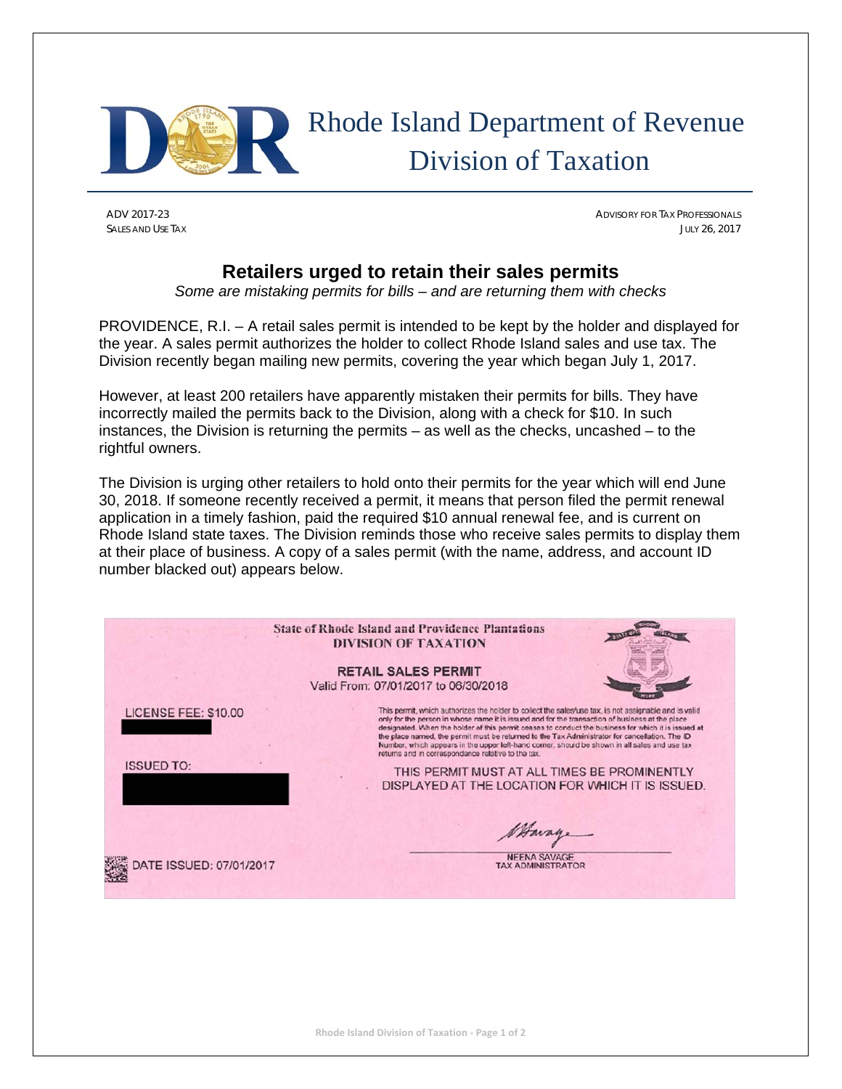

## Rhode Island Department of Revenue Division of Taxation

ADV 2017-23 ADVISORY FOR TAX PROFESSIONALS SALES AND USE TAX JULY 26, 2017

## **Retailers urged to retain their sales permits**

*Some are mistaking permits for bills – and are returning them with checks* 

PROVIDENCE, R.I. – A retail sales permit is intended to be kept by the holder and displayed for the year. A sales permit authorizes the holder to collect Rhode Island sales and use tax. The Division recently began mailing new permits, covering the year which began July 1, 2017.

However, at least 200 retailers have apparently mistaken their permits for bills. They have incorrectly mailed the permits back to the Division, along with a check for \$10. In such instances, the Division is returning the permits – as well as the checks, uncashed – to the rightful owners.

The Division is urging other retailers to hold onto their permits for the year which will end June 30, 2018. If someone recently received a permit, it means that person filed the permit renewal application in a timely fashion, paid the required \$10 annual renewal fee, and is current on Rhode Island state taxes. The Division reminds those who receive sales permits to display them at their place of business. A copy of a sales permit (with the name, address, and account ID number blacked out) appears below.

|                                           | <b>State of Rhode Island and Providence Plantations</b><br><b>DIVISION OF TAXATION</b><br><b>RETAIL SALES PERMIT</b><br>Valid From: 07/01/2017 to 06/30/2018                                                                                                                                                                                                                                                                                                                                                                                                                                                                                                                  |
|-------------------------------------------|-------------------------------------------------------------------------------------------------------------------------------------------------------------------------------------------------------------------------------------------------------------------------------------------------------------------------------------------------------------------------------------------------------------------------------------------------------------------------------------------------------------------------------------------------------------------------------------------------------------------------------------------------------------------------------|
| LICENSE FEE: \$10.00<br><b>ISSUED TO:</b> | This permit, which authorizes the holder to collect the sales/use tax, is not assignable and is valid<br>only for the person in whose name it is issued and for the transaction of business at the place<br>designated. When the holder of this permit ceases to conduct the business for which it is issued at<br>the place named, the permit must be returned to the Tax Administrator for cancellation. The ID<br>Number, which appears in the upper left-hand corner, should be shown in all sales and use tax<br>returns and in correspondence relative to the tax.<br>THIS PERMIT MUST AT ALL TIMES BE PROMINENTLY<br>DISPLAYED AT THE LOCATION FOR WHICH IT IS ISSUED. |
| DATE ISSUED: 07/01/2017                   | Havage<br><b>NEENA SAVAGE</b><br><b>TAX ADMINISTRATOR</b>                                                                                                                                                                                                                                                                                                                                                                                                                                                                                                                                                                                                                     |

**Rhode Island Division of Taxation ‐ Page 1 of 2**